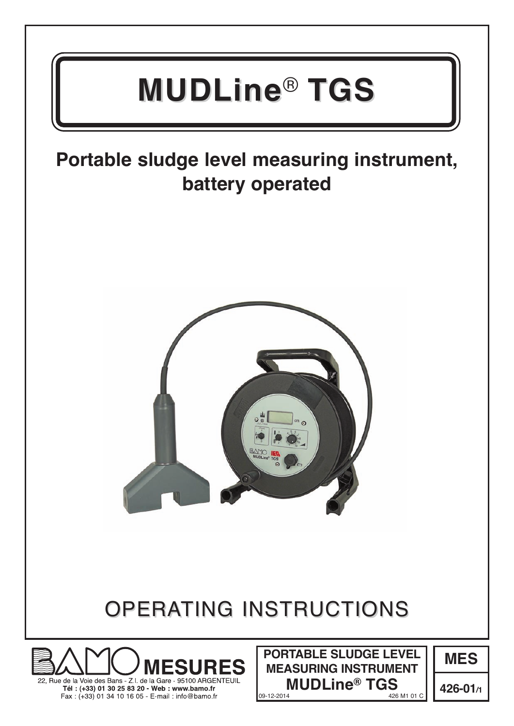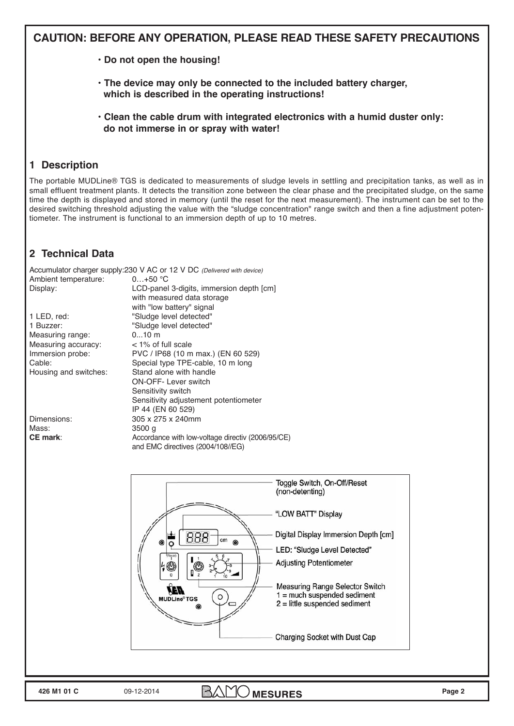# **CaUTion: bEForE anY oPEraTion, PLEaSE rEaD THESE SaFETY PrECaUTionS**

- **Do not open the housing!**
- **The device may only be connected to the included battery charger, which is described in the operating instructions!**
- **Clean the cable drum with integrated electronics with a humid duster only: do not immerse in or spray with water!**

# **1 Description**

The portable MUDLine® TGS is dedicated to measurements of sludge levels in settling and precipitation tanks, as well as in small effluent treatment plants. It detects the transition zone between the clear phase and the precipitated sludge, on the same time the depth is displayed and stored in memory (until the reset for the next measurement). The instrument can be set to the desired switching threshold adjusting the value with the "sludge concentration" range switch and then a fine adjustment potentiometer. The instrument is functional to an immersion depth of up to 10 metres.

# **2 Technical Data**

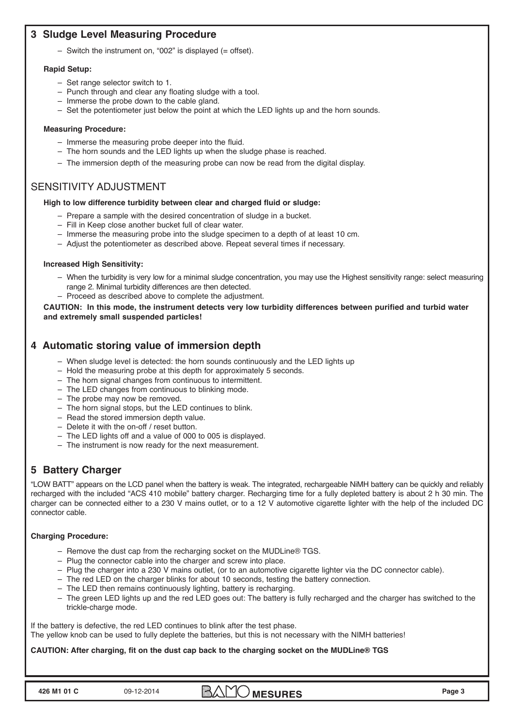### **3 Sludge Level Measuring Procedure**

– Switch the instrument on, "002" is displayed (= offset).

### **rapid Setup:**

- Set range selector switch to 1.
- Punch through and clear any floating sludge with a tool.
- Immerse the probe down to the cable gland.
- Set the potentiometer just below the point at which the LED lights up and the horn sounds.

#### **Measuring Procedure:**

- Immerse the measuring probe deeper into the fluid.
- The horn sounds and the LED lights up when the sludge phase is reached.
- The immersion depth of the measuring probe can now be read from the digital display.

### SENSITIVITY ADJUSTMENT

#### **High to low difference turbidity between clear and charged fluid or sludge:**

- Prepare a sample with the desired concentration of sludge in a bucket.
- Fill in Keep close another bucket full of clear water.
- Immerse the measuring probe into the sludge specimen to a depth of at least 10 cm.
- Adjust the potentiometer as described above. Repeat several times if necessary.

#### **increased High Sensitivity:**

- When the turbidity is very low for a minimal sludge concentration, you may use the Highest sensitivity range: select measuring range 2. Minimal turbidity differences are then detected.
- Proceed as described above to complete the adjustment.

**CaUTion: in this mode, the instrument detects very low turbidity differences between purified and turbid water and extremely small suspended particles!** 

### **4 automatic storing value of immersion depth**

- When sludge level is detected: the horn sounds continuously and the LED lights up
- Hold the measuring probe at this depth for approximately 5 seconds.
- The horn signal changes from continuous to intermittent.
- The LED changes from continuous to blinking mode.
- The probe may now be removed.
- The horn signal stops, but the LED continues to blink.
- Read the stored immersion depth value.
- Delete it with the on-off / reset button.
- The LED lights off and a value of 000 to 005 is displayed.
- The instrument is now ready for the next measurement.

## **5 battery Charger**

"LOW BATT" appears on the LCD panel when the battery is weak. The integrated, rechargeable NiMH battery can be quickly and reliably recharged with the included "ACS 410 mobile" battery charger. Recharging time for a fully depleted battery is about 2 h 30 min. The charger can be connected either to a 230 V mains outlet, or to a 12 V automotive cigarette lighter with the help of the included DC connector cable.

### **Charging Procedure:**

- Remove the dust cap from the recharging socket on the MUDLine® TGS.
- Plug the connector cable into the charger and screw into place.
- Plug the charger into a 230 V mains outlet, (or to an automotive cigarette lighter via the DC connector cable).
- The red LED on the charger blinks for about 10 seconds, testing the battery connection.
- The LED then remains continuously lighting, battery is recharging.
- The green LED lights up and the red LED goes out: The battery is fully recharged and the charger has switched to the trickle-charge mode.

If the battery is defective, the red LED continues to blink after the test phase. The yellow knob can be used to fully deplete the batteries, but this is not necessary with the NIMH batteries!

### **CaUTion: after charging, fit on the dust cap back to the charging socket on the MUDLine® TGS**

**426 M1 01 C** 09-12-2014 **BAMO MESURES** Page 3